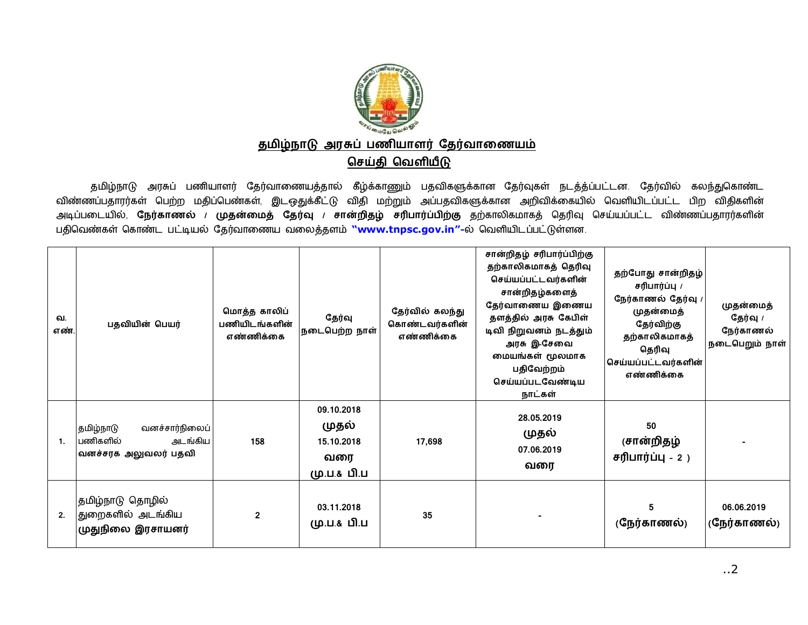

## தமிழ்நாடு அரசுப் பணியாளர் தேர்வாணையம் செய்தி வெளியீடு

தமிழ்நாடு அரசுப் பணியாளர் தேர்வாணையத்தால் கீழ்க்காணும் பதவிகளுக்கான தேர்வுகள் நடத்த்ப்பட்டன. தேர்வில் கலந்துகொண்ட விண்ணப்பதாரர்கள் பெற்ற மதிப்பெண்கள், இடஒதுக்கீட்டு விதி மற்றும் அப்பதவிகளுக்கான அறிவிக்கையில் வெளியிடப்பட்ட பிற விதிகளின் அடிப்படையில், நேர்காணல் / <mark>முதன்மைத் தேர்வு / சான்றிதழ் சரிபார்ப்பிற்கு</mark> தற்காலிகமாகத் தெரிவு செய்யப்பட்ட விண்ணப்பதாரர்களின் பதிவெண்கள் கொண்ட பட்டியல் தேர்வாணைய வலைத்தளம் ["www.tnpsc.gov.in](http://www.tnpsc.gov.in)"-ல் வெளியிடப்பட்டுள்ளன.

| வ.<br>எண்.   | பதவியின் பெயர்                                                             | மொத்த காலிப்<br>பணியிடங்களின்<br>எண்ணிக்கை | தேர்வு<br>நடைபெற்ற நாள்                                 | தேர்வில் கலந்து<br>கொண்டவர்களின்<br>எண்ணிக்கை | சான்றிதழ் சரிபார்ப்பிற்கு<br>தற்காலிகமாகத் தெரிவு<br>செய்யப்பட்டவர்களின்<br>சான்றிதழ்களைத்<br>தேர்வாணைய இணைய<br>தளத்தில் அரசு கேபிள்<br>டிவி நிறுவனம் நடத்தும்<br>அரசு இ-சேவை<br>மையங்கள் மூலமாக<br>பதிவேற்றம்<br>செய்யப்படவேண்டிய<br>நாட்கள் | தற்போது சான்றிதழ்<br>சரிபார்ப்பு /<br>நேர்காணல் தேர்வு /<br>முதன்மைத்<br>தேர்விற்கு<br>தற்காலிகமாகத்<br>தெரிவு<br>கெய்யப்பட்டவர்களின் <br>எண்ணிக்கை | முதன்மைத்<br>தேர்வு /<br>நேர்காணல்<br>நடைபெறும் நாள் |
|--------------|----------------------------------------------------------------------------|--------------------------------------------|---------------------------------------------------------|-----------------------------------------------|-----------------------------------------------------------------------------------------------------------------------------------------------------------------------------------------------------------------------------------------------|-----------------------------------------------------------------------------------------------------------------------------------------------------|------------------------------------------------------|
| $\mathbf{1}$ | வனச்சார்நிலைப்<br>தமிழ்நாடு<br>பணிகளில்<br>அடங்கிய<br>வனச்சரக அலுவலர் பதவி | 158                                        | 09.10.2018<br>முதல்<br>15.10.2018<br>வரை<br>மு.ப.& பி.ப | 17,698                                        | 28.05.2019<br>முதல்<br>07.06.2019<br>வரை                                                                                                                                                                                                      | 50<br>(சான்றிதழ்<br>$\epsilon$ ரிபார்ப்பு - 2)                                                                                                      |                                                      |
| 2.           | தமிழ்நாடு தொழில்<br> துறைகளில் அடங்கிய<br>முதுநிலை இரசாயனர்                | $\mathbf{2}$                               | 03.11.2018<br>மு.ப.& பி.ப                               | 35                                            |                                                                                                                                                                                                                                               | 5<br>(நேர்காணல்)                                                                                                                                    | 06.06.2019<br>(நேர்காணல்)                            |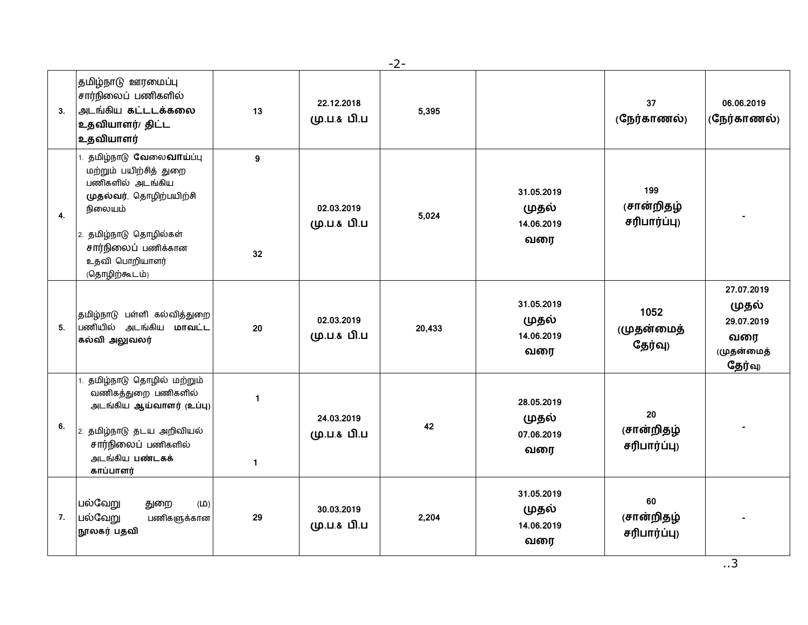- 2 -

| 3. | தமிழ்நாடு ஊரமைப்பு<br>சார்நிலைப் பணிகளில்<br>அடங்கிய கட்டடக்கலை<br>உதவியாளர்/ திட்ட<br>உதவியாளர்                                                                                                           | 13                             | 22.12.2018<br>மு.ப.& பி.ப | 5,395  |                                          | 37<br>(நேர்காணல்)                 | 06.06.2019<br>(நேர்காணல்)                                        |
|----|------------------------------------------------------------------------------------------------------------------------------------------------------------------------------------------------------------|--------------------------------|---------------------------|--------|------------------------------------------|-----------------------------------|------------------------------------------------------------------|
| 4. | 1. தமிழ்நாடு வேலை <b>வாய்</b> ப்பு<br>மற்றும் பயிற்சித் துறை<br>பணிகளில் அடங்கிய<br>முதல்வர், தொழிற்பயிற்சி<br>நிலையம்<br>2. தமிழ்நாடு தொழில்கள்<br>சார்நிலைப் பணிக்கான<br>உதவி பொறியாளர்<br>(தொழிற்கூடம்) | 9<br>32                        | 02.03.2019<br>மு.ப.& பி.ப | 5,024  | 31.05.2019<br>முதல்<br>14.06.2019<br>வரை | 199<br>(சான்றிதழ்<br>சரிபார்ப்பு) |                                                                  |
| 5. | தமிழ்நாடு பள்ளி கல்வித்துறை<br>பணியில் அடங்கிய மாவட்ட<br>கல்வி அலுவலர்                                                                                                                                     | 20                             | 02.03.2019<br>மு.ப.& பி.ப | 20,433 | 31.05.2019<br>முதல்<br>14.06.2019<br>வரை | 1052<br>(முதன்மைத்<br>தேர்வு)     | 27.07.2019<br>முதல்<br>29.07.2019<br>வரை<br>(முதன்மைத்<br>தேர்வு |
| 6. | தமிழ்நாடு தொழில் மற்றும்<br>வணிகத்துறை பணிகளில்<br>அடங்கிய ஆய்வாளர் (உப்பு)<br>2. தமிழ்நாடு தடய அறிவியல்<br>சார்நிலைப் பணிகளில்<br>அடங்கிய பண்டகக்<br>காப்பாளர்                                            | $\overline{1}$<br>$\mathbf{1}$ | 24.03.2019<br>மு.ப.& பி.ப | 42     | 28.05.2019<br>முதல்<br>07.06.2019<br>வரை | 20<br>(சான்றிதழ்<br>சரிபார்ப்பு)  |                                                                  |
| 7. | பல்வேறு<br>துறை<br>(D)<br>பல்வேறு<br>பணிகளுக்கான<br>நூலகர் பதவி                                                                                                                                            | 29                             | 30.03.2019<br>மு.ப.& பி.ப | 2,204  | 31.05.2019<br>முதல்<br>14.06.2019<br>வரை | 60<br>(சான்றிதழ்<br>சரிபார்ப்பு)  |                                                                  |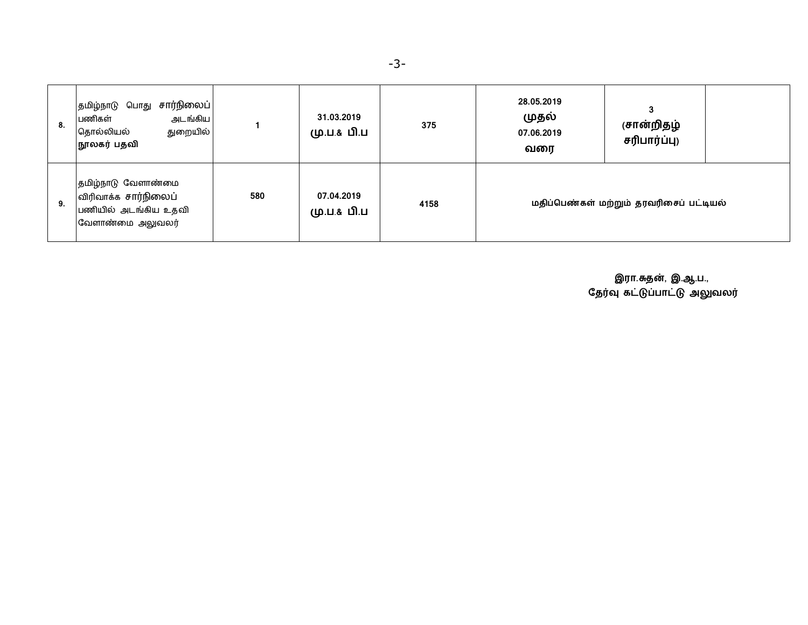| 8. | சார்நிலைப் <br>தமிழ்நாடு பொது<br>அடங்கிய<br>பணிகள்<br>துறையில்<br>தொல்லியல்<br>நூலகர் பதவி |     | 31.03.2019<br>மு.ப.& பி.ப | 375  | 28.05.2019<br>முதல்<br>07.06.2019<br>வரை | 3<br>(சான்றிதழ்<br>சரிபார்ப்பு) |  |
|----|--------------------------------------------------------------------------------------------|-----|---------------------------|------|------------------------------------------|---------------------------------|--|
| 9. | தமிழ்நாடு வேளாண்மை<br>விரிவாக்க சார்நிலைப்<br>பணியில் அடங்கிய உதவி<br>வேளாண்மை அலுவலர்     | 580 | 07.04.2019<br>மு.ப.& பி.ப | 4158 | மதிப்பெண்கள் மற்றும் தரவரிசைப் பட்டியல்  |                                 |  |

 **இரா.த}, இ.ஆ.ப.,** தேர்வு கட்டுப்பாட்டு அலுவலர்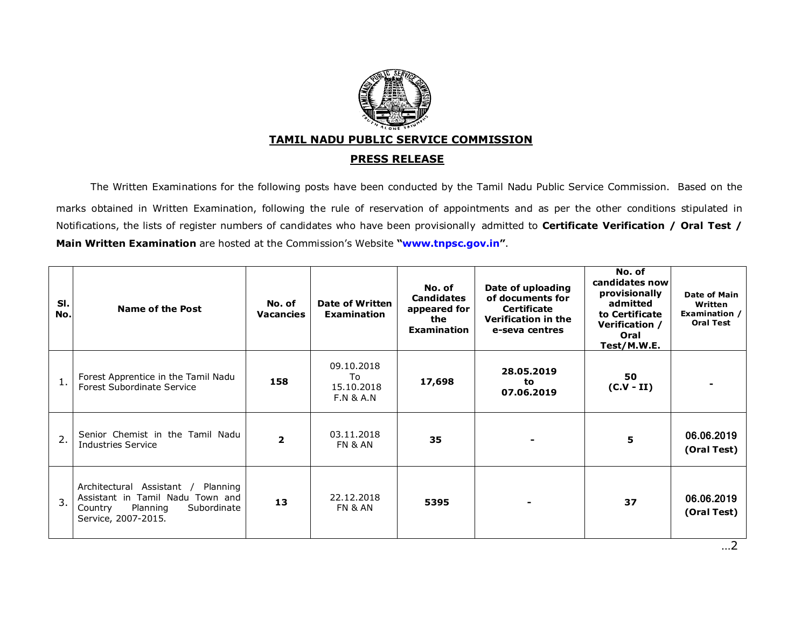

## **TAMIL NADU PUBLIC SERVICE COMMISSION**

## **PRESS RELEASE**

The Written Examinations for the following posts have been conducted by the Tamil Nadu Public Service Commission. Based on the marks obtained in Written Examination, following the rule of reservation of appointments and as per the other conditions stipulated in Notifications, the lists of register numbers of candidates who have been provisionally admitted to **Certificate Verification / Oral Test / Main Written Examination** are hosted at the Commission's Website **["www.tnpsc.gov.in"](http://www.tnpsc.gov.in)**.

| SI.<br>No.       | Name of the Post                                                                                                                       | No. of<br><b>Vacancies</b> | Date of Written<br><b>Examination</b>                  | No. of<br><b>Candidates</b><br>appeared for<br>the<br><b>Examination</b> | Date of uploading<br>of documents for<br><b>Certificate</b><br>Verification in the<br>e-seva centres | No. of<br>candidates now<br>provisionally<br>admitted<br>to Certificate<br>Verification /<br>Oral<br>Test/M.W.E. | Date of Main<br>Written<br>Examination /<br><b>Oral Test</b> |
|------------------|----------------------------------------------------------------------------------------------------------------------------------------|----------------------------|--------------------------------------------------------|--------------------------------------------------------------------------|------------------------------------------------------------------------------------------------------|------------------------------------------------------------------------------------------------------------------|--------------------------------------------------------------|
| 1.               | Forest Apprentice in the Tamil Nadu<br><b>Forest Subordinate Service</b>                                                               | 158                        | 09.10.2018<br>To<br>15.10.2018<br><b>F.N &amp; A.N</b> | 17,698                                                                   | 28.05.2019<br>to<br>07.06.2019                                                                       | 50<br>$(C.V - II)$                                                                                               |                                                              |
| $\overline{2}$ . | Senior Chemist in the Tamil Nadu<br>Industries Service                                                                                 | $\overline{2}$             | 03.11.2018<br>FN & AN                                  | 35                                                                       |                                                                                                      | 5                                                                                                                | 06.06.2019<br>(Oral Test)                                    |
| 3.               | Architectural Assistant /<br>Planning<br>Assistant in Tamil Nadu Town and<br>Planning<br>Subordinate<br>Country<br>Service, 2007-2015. | 13                         | 22.12.2018<br>FN & AN                                  | 5395                                                                     |                                                                                                      | 37                                                                                                               | 06.06.2019<br>(Oral Test)                                    |

…2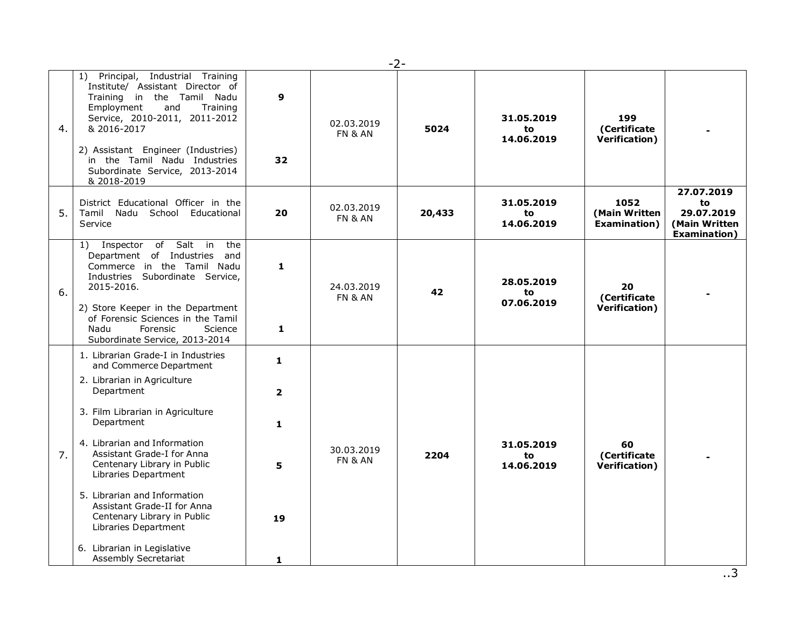|    | $-2-$                                                                                                                                                                                                                                                                                                                                                                                                                                                          |                                                     |                                  |        |                                |                                               |                                                                         |  |  |  |
|----|----------------------------------------------------------------------------------------------------------------------------------------------------------------------------------------------------------------------------------------------------------------------------------------------------------------------------------------------------------------------------------------------------------------------------------------------------------------|-----------------------------------------------------|----------------------------------|--------|--------------------------------|-----------------------------------------------|-------------------------------------------------------------------------|--|--|--|
| 4. | 1) Principal, Industrial Training<br>Institute/ Assistant Director of<br>Training in the Tamil Nadu<br>Employment<br>Training<br>and<br>Service, 2010-2011, 2011-2012<br>& 2016-2017<br>2) Assistant Engineer (Industries)<br>in the Tamil Nadu Industries<br>Subordinate Service, 2013-2014<br>& 2018-2019                                                                                                                                                    | $\mathbf{9}$<br>32                                  | 02.03.2019<br>FN & AN            | 5024   | 31.05.2019<br>to<br>14.06.2019 | 199<br>(Certificate<br>Verification)          |                                                                         |  |  |  |
| 5. | District Educational Officer in the<br>Tamil Nadu School Educational<br>Service                                                                                                                                                                                                                                                                                                                                                                                | 20                                                  | 02.03.2019<br>FN & AN            | 20,433 | 31.05.2019<br>to<br>14.06.2019 | 1052<br>(Main Written<br><b>Examination</b> ) | 27.07.2019<br>to<br>29.07.2019<br>(Main Written<br><b>Examination</b> ) |  |  |  |
| 6. | 1) Inspector of Salt in<br>the<br>Department of Industries<br>and<br>Commerce in the Tamil Nadu<br>Industries Subordinate Service,<br>2015-2016.<br>2) Store Keeper in the Department<br>of Forensic Sciences in the Tamil<br>Nadu<br>Forensic<br>Science<br>Subordinate Service, 2013-2014                                                                                                                                                                    | $\mathbf{1}$<br>1                                   | 24.03.2019<br>FN & AN            | 42     | 28.05.2019<br>to<br>07.06.2019 | 20<br>(Certificate<br>Verification)           |                                                                         |  |  |  |
| 7. | 1. Librarian Grade-I in Industries<br>and Commerce Department<br>2. Librarian in Agriculture<br>Department<br>3. Film Librarian in Agriculture<br>Department<br>4. Librarian and Information<br>Assistant Grade-I for Anna<br>Centenary Library in Public<br>Libraries Department<br>5. Librarian and Information<br>Assistant Grade-II for Anna<br>Centenary Library in Public<br>Libraries Department<br>6. Librarian in Legislative<br>Assembly Secretariat | 1<br>$\overline{2}$<br>$\mathbf{1}$<br>5<br>19<br>1 | 30.03.2019<br><b>FN &amp; AN</b> | 2204   | 31.05.2019<br>to<br>14.06.2019 | 60<br>(Certificate<br>Verification)           |                                                                         |  |  |  |